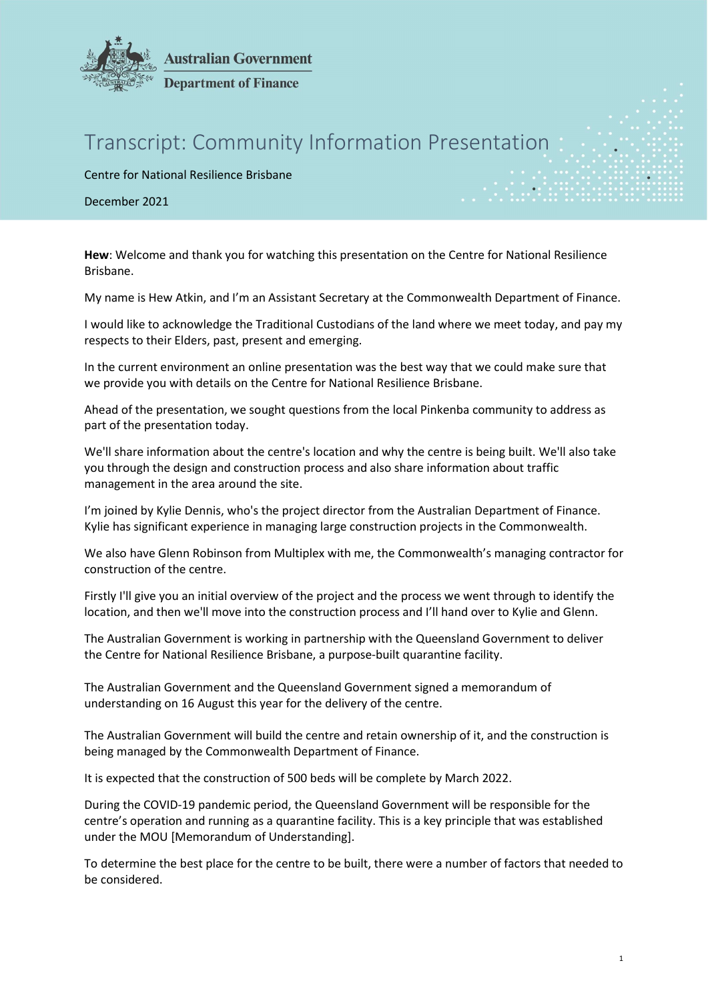

## **Australian Government Department of Finance**

## Transcript: Community Information Presentation

Centre for National Resilience Brisbane

December 2021

Hew: Welcome and thank you for watching this presentation on the Centre for National Resilience Brisbane.

My name is Hew Atkin, and I'm an Assistant Secretary at the Commonwealth Department of Finance.

I would like to acknowledge the Traditional Custodians of the land where we meet today, and pay my respects to their Elders, past, present and emerging.

In the current environment an online presentation was the best way that we could make sure that we provide you with details on the Centre for National Resilience Brisbane.

Ahead of the presentation, we sought questions from the local Pinkenba community to address as part of the presentation today.

We'll share information about the centre's location and why the centre is being built. We'll also take you through the design and construction process and also share information about traffic management in the area around the site.

I'm joined by Kylie Dennis, who's the project director from the Australian Department of Finance. Kylie has significant experience in managing large construction projects in the Commonwealth.

We also have Glenn Robinson from Multiplex with me, the Commonwealth's managing contractor for construction of the centre.

Firstly I'll give you an initial overview of the project and the process we went through to identify the location, and then we'll move into the construction process and I'll hand over to Kylie and Glenn.

The Australian Government is working in partnership with the Queensland Government to deliver the Centre for National Resilience Brisbane, a purpose-built quarantine facility.

The Australian Government and the Queensland Government signed a memorandum of understanding on 16 August this year for the delivery of the centre.

The Australian Government will build the centre and retain ownership of it, and the construction is being managed by the Commonwealth Department of Finance.

It is expected that the construction of 500 beds will be complete by March 2022.

During the COVID-19 pandemic period, the Queensland Government will be responsible for the centre's operation and running as a quarantine facility. This is a key principle that was established under the MOU [Memorandum of Understanding].

To determine the best place for the centre to be built, there were a number of factors that needed to be considered.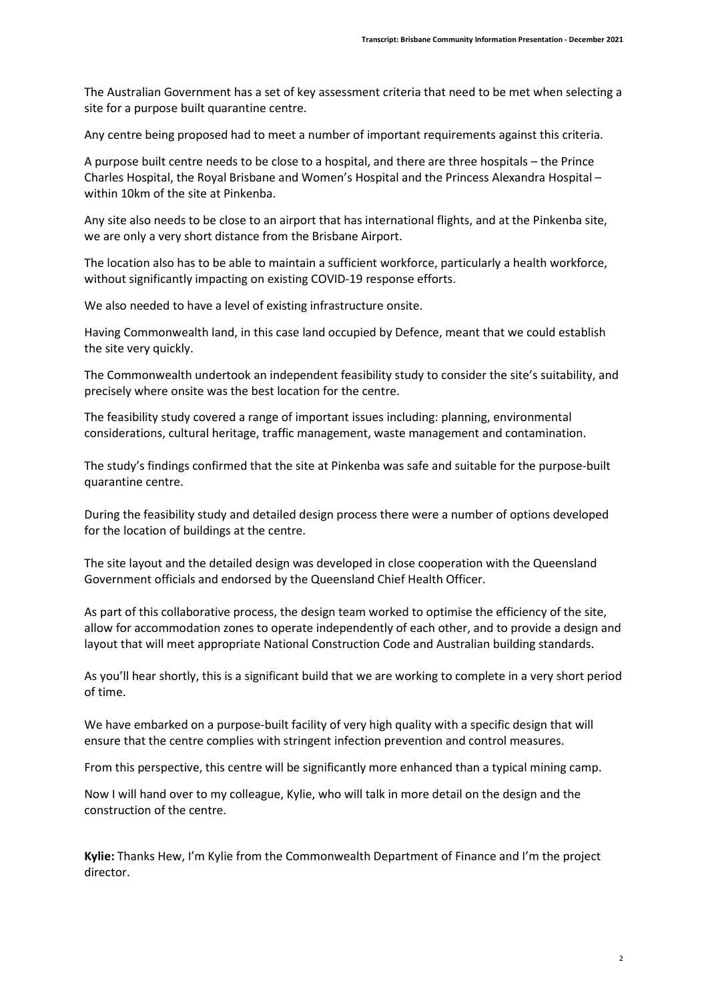The Australian Government has a set of key assessment criteria that need to be met when selecting a site for a purpose built quarantine centre.

Any centre being proposed had to meet a number of important requirements against this criteria.

A purpose built centre needs to be close to a hospital, and there are three hospitals – the Prince Charles Hospital, the Royal Brisbane and Women's Hospital and the Princess Alexandra Hospital – within 10km of the site at Pinkenba.

Any site also needs to be close to an airport that has international flights, and at the Pinkenba site, we are only a very short distance from the Brisbane Airport.

The location also has to be able to maintain a sufficient workforce, particularly a health workforce, without significantly impacting on existing COVID-19 response efforts.

We also needed to have a level of existing infrastructure onsite.

Having Commonwealth land, in this case land occupied by Defence, meant that we could establish the site very quickly.

The Commonwealth undertook an independent feasibility study to consider the site's suitability, and precisely where onsite was the best location for the centre.

The feasibility study covered a range of important issues including: planning, environmental considerations, cultural heritage, traffic management, waste management and contamination.

The study's findings confirmed that the site at Pinkenba was safe and suitable for the purpose-built quarantine centre.

During the feasibility study and detailed design process there were a number of options developed for the location of buildings at the centre.

The site layout and the detailed design was developed in close cooperation with the Queensland Government officials and endorsed by the Queensland Chief Health Officer.

As part of this collaborative process, the design team worked to optimise the efficiency of the site, allow for accommodation zones to operate independently of each other, and to provide a design and layout that will meet appropriate National Construction Code and Australian building standards.

As you'll hear shortly, this is a significant build that we are working to complete in a very short period of time.

We have embarked on a purpose-built facility of very high quality with a specific design that will ensure that the centre complies with stringent infection prevention and control measures.

From this perspective, this centre will be significantly more enhanced than a typical mining camp.

Now I will hand over to my colleague, Kylie, who will talk in more detail on the design and the construction of the centre.

Kylie: Thanks Hew, I'm Kylie from the Commonwealth Department of Finance and I'm the project director.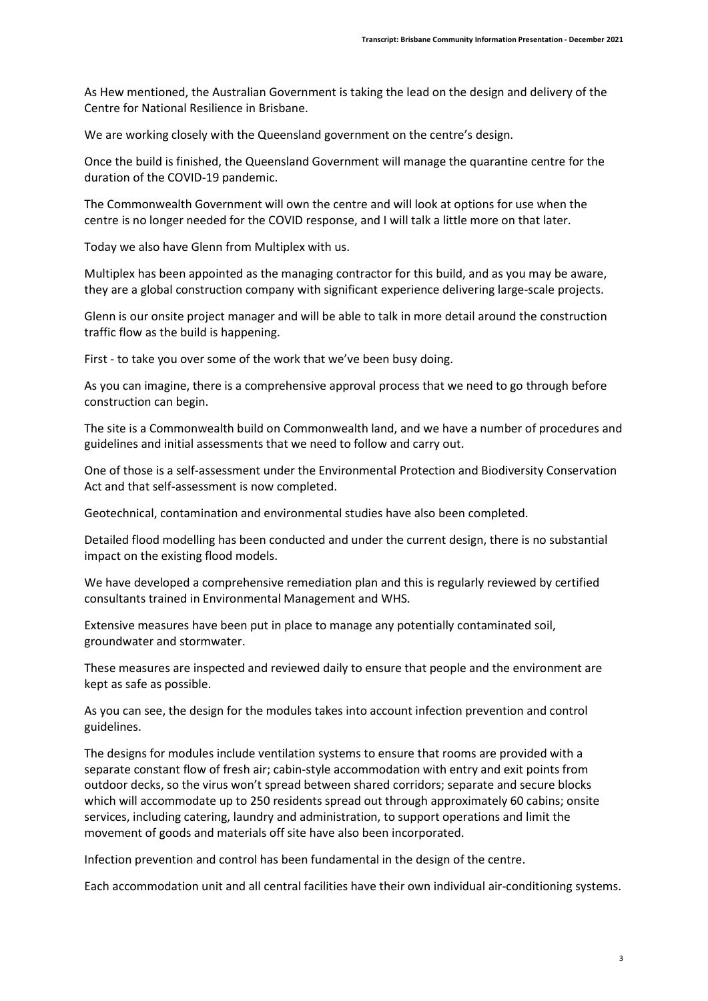As Hew mentioned, the Australian Government is taking the lead on the design and delivery of the Centre for National Resilience in Brisbane.

We are working closely with the Queensland government on the centre's design.

Once the build is finished, the Queensland Government will manage the quarantine centre for the duration of the COVID-19 pandemic.

The Commonwealth Government will own the centre and will look at options for use when the centre is no longer needed for the COVID response, and I will talk a little more on that later.

Today we also have Glenn from Multiplex with us.

Multiplex has been appointed as the managing contractor for this build, and as you may be aware, they are a global construction company with significant experience delivering large-scale projects.

Glenn is our onsite project manager and will be able to talk in more detail around the construction traffic flow as the build is happening.

First - to take you over some of the work that we've been busy doing.

As you can imagine, there is a comprehensive approval process that we need to go through before construction can begin.

The site is a Commonwealth build on Commonwealth land, and we have a number of procedures and guidelines and initial assessments that we need to follow and carry out.

One of those is a self-assessment under the Environmental Protection and Biodiversity Conservation Act and that self-assessment is now completed.

Geotechnical, contamination and environmental studies have also been completed.

Detailed flood modelling has been conducted and under the current design, there is no substantial impact on the existing flood models.

We have developed a comprehensive remediation plan and this is regularly reviewed by certified consultants trained in Environmental Management and WHS.

Extensive measures have been put in place to manage any potentially contaminated soil, groundwater and stormwater.

These measures are inspected and reviewed daily to ensure that people and the environment are kept as safe as possible.

As you can see, the design for the modules takes into account infection prevention and control guidelines.

The designs for modules include ventilation systems to ensure that rooms are provided with a separate constant flow of fresh air; cabin-style accommodation with entry and exit points from outdoor decks, so the virus won't spread between shared corridors; separate and secure blocks which will accommodate up to 250 residents spread out through approximately 60 cabins; onsite services, including catering, laundry and administration, to support operations and limit the movement of goods and materials off site have also been incorporated.

Infection prevention and control has been fundamental in the design of the centre.

Each accommodation unit and all central facilities have their own individual air-conditioning systems.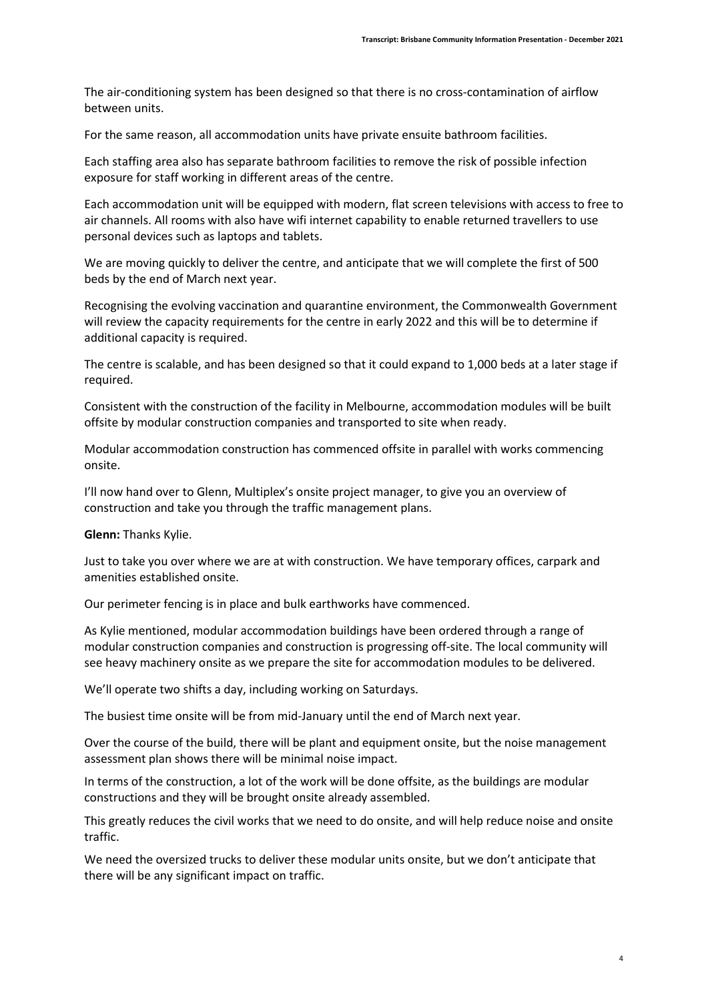The air-conditioning system has been designed so that there is no cross-contamination of airflow between units.

For the same reason, all accommodation units have private ensuite bathroom facilities.

Each staffing area also has separate bathroom facilities to remove the risk of possible infection exposure for staff working in different areas of the centre.

Each accommodation unit will be equipped with modern, flat screen televisions with access to free to air channels. All rooms with also have wifi internet capability to enable returned travellers to use personal devices such as laptops and tablets.

We are moving quickly to deliver the centre, and anticipate that we will complete the first of 500 beds by the end of March next year.

Recognising the evolving vaccination and quarantine environment, the Commonwealth Government will review the capacity requirements for the centre in early 2022 and this will be to determine if additional capacity is required.

The centre is scalable, and has been designed so that it could expand to 1,000 beds at a later stage if required.

Consistent with the construction of the facility in Melbourne, accommodation modules will be built offsite by modular construction companies and transported to site when ready.

Modular accommodation construction has commenced offsite in parallel with works commencing onsite.

I'll now hand over to Glenn, Multiplex's onsite project manager, to give you an overview of construction and take you through the traffic management plans.

## Glenn: Thanks Kylie.

Just to take you over where we are at with construction. We have temporary offices, carpark and amenities established onsite.

Our perimeter fencing is in place and bulk earthworks have commenced.

As Kylie mentioned, modular accommodation buildings have been ordered through a range of modular construction companies and construction is progressing off-site. The local community will see heavy machinery onsite as we prepare the site for accommodation modules to be delivered.

We'll operate two shifts a day, including working on Saturdays.

The busiest time onsite will be from mid-January until the end of March next year.

Over the course of the build, there will be plant and equipment onsite, but the noise management assessment plan shows there will be minimal noise impact.

In terms of the construction, a lot of the work will be done offsite, as the buildings are modular constructions and they will be brought onsite already assembled.

This greatly reduces the civil works that we need to do onsite, and will help reduce noise and onsite traffic.

We need the oversized trucks to deliver these modular units onsite, but we don't anticipate that there will be any significant impact on traffic.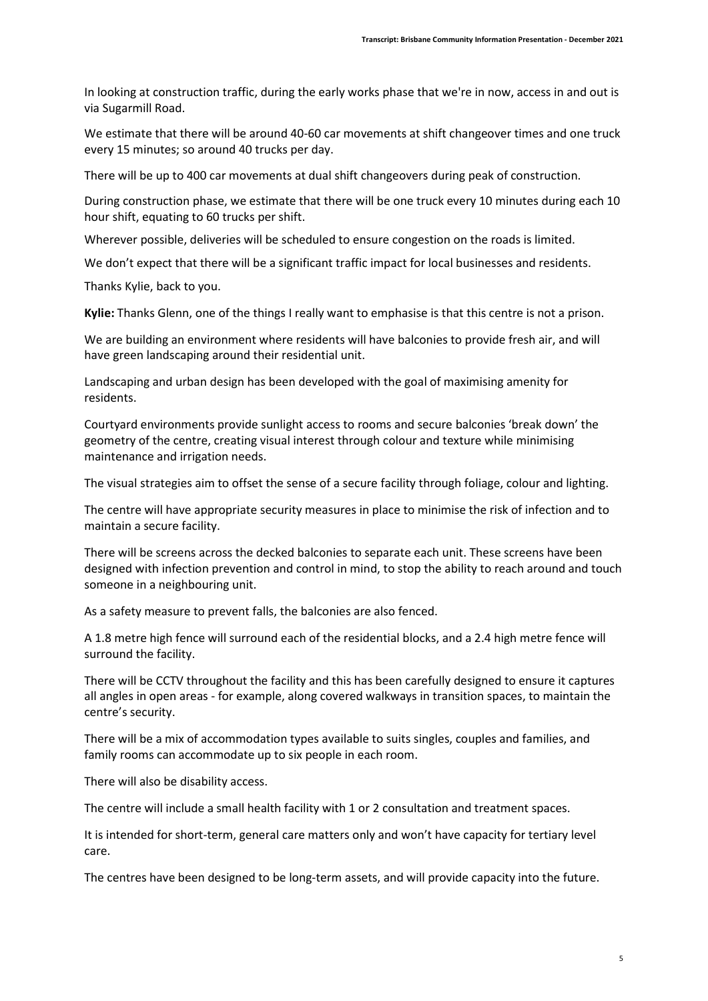In looking at construction traffic, during the early works phase that we're in now, access in and out is via Sugarmill Road.

We estimate that there will be around 40-60 car movements at shift changeover times and one truck every 15 minutes; so around 40 trucks per day.

There will be up to 400 car movements at dual shift changeovers during peak of construction.

During construction phase, we estimate that there will be one truck every 10 minutes during each 10 hour shift, equating to 60 trucks per shift.

Wherever possible, deliveries will be scheduled to ensure congestion on the roads is limited.

We don't expect that there will be a significant traffic impact for local businesses and residents.

Thanks Kylie, back to you.

Kylie: Thanks Glenn, one of the things I really want to emphasise is that this centre is not a prison.

We are building an environment where residents will have balconies to provide fresh air, and will have green landscaping around their residential unit.

Landscaping and urban design has been developed with the goal of maximising amenity for residents.

Courtyard environments provide sunlight access to rooms and secure balconies 'break down' the geometry of the centre, creating visual interest through colour and texture while minimising maintenance and irrigation needs.

The visual strategies aim to offset the sense of a secure facility through foliage, colour and lighting.

The centre will have appropriate security measures in place to minimise the risk of infection and to maintain a secure facility.

There will be screens across the decked balconies to separate each unit. These screens have been designed with infection prevention and control in mind, to stop the ability to reach around and touch someone in a neighbouring unit.

As a safety measure to prevent falls, the balconies are also fenced.

A 1.8 metre high fence will surround each of the residential blocks, and a 2.4 high metre fence will surround the facility.

There will be CCTV throughout the facility and this has been carefully designed to ensure it captures all angles in open areas - for example, along covered walkways in transition spaces, to maintain the centre's security.

There will be a mix of accommodation types available to suits singles, couples and families, and family rooms can accommodate up to six people in each room.

There will also be disability access.

The centre will include a small health facility with 1 or 2 consultation and treatment spaces.

It is intended for short-term, general care matters only and won't have capacity for tertiary level care.

The centres have been designed to be long-term assets, and will provide capacity into the future.